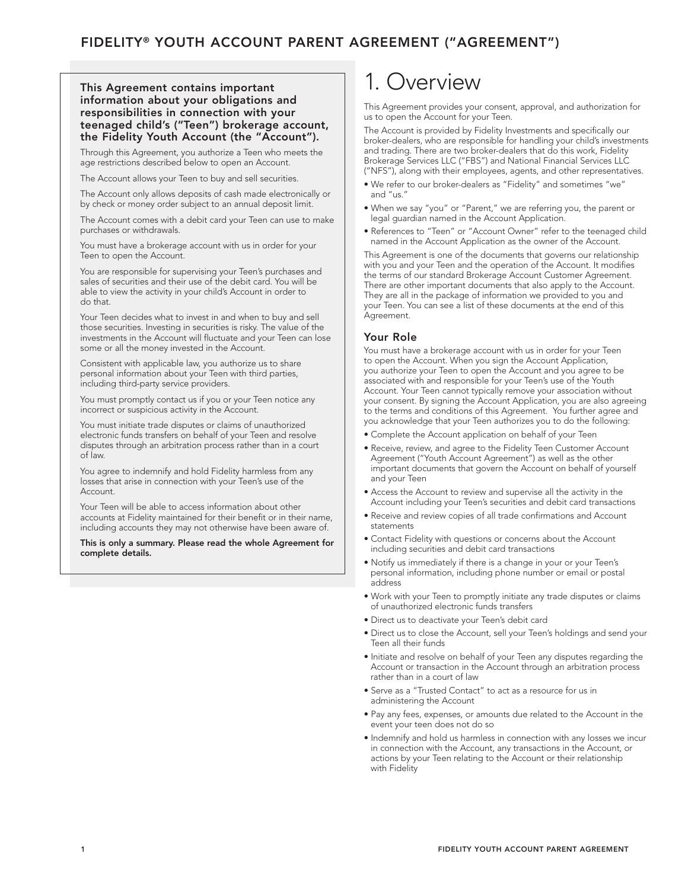#### This Agreement contains important information about your obligations and responsibilities in connection with your teenaged child's ("Teen") brokerage account, the Fidelity Youth Account (the "Account").

Through this Agreement, you authorize a Teen who meets the age restrictions described below to open an Account.

The Account allows your Teen to buy and sell securities.

The Account only allows deposits of cash made electronically or by check or money order subject to an annual deposit limit.

The Account comes with a debit card your Teen can use to make purchases or withdrawals.

You must have a brokerage account with us in order for your Teen to open the Account.

You are responsible for supervising your Teen's purchases and sales of securities and their use of the debit card. You will be able to view the activity in your child's Account in order to do that.

Your Teen decides what to invest in and when to buy and sell those securities. Investing in securities is risky. The value of the investments in the Account will fluctuate and your Teen can lose some or all the money invested in the Account.

Consistent with applicable law, you authorize us to share personal information about your Teen with third parties, including third-party service providers.

You must promptly contact us if you or your Teen notice any incorrect or suspicious activity in the Account.

You must initiate trade disputes or claims of unauthorized electronic funds transfers on behalf of your Teen and resolve disputes through an arbitration process rather than in a court of law.

You agree to indemnify and hold Fidelity harmless from any losses that arise in connection with your Teen's use of the Account.

Your Teen will be able to access information about other accounts at Fidelity maintained for their benefit or in their name, including accounts they may not otherwise have been aware of.

This is only a summary. Please read the whole Agreement for complete details.

## 1. Overview

This Agreement provides your consent, approval, and authorization for us to open the Account for your Teen.

The Account is provided by Fidelity Investments and specifically our broker-dealers, who are responsible for handling your child's investments and trading. There are two broker-dealers that do this work, Fidelity Brokerage Services LLC ("FBS") and National Financial Services LLC ("NFS"), along with their employees, agents, and other representatives.

- We refer to our broker-dealers as "Fidelity" and sometimes "we" and "us."
- When we say "you" or "Parent," we are referring you, the parent or legal guardian named in the Account Application.
- References to "Teen" or "Account Owner" refer to the teenaged child named in the Account Application as the owner of the Account.

This Agreement is one of the documents that governs our relationship with you and your Teen and the operation of the Account. It modifies the terms of our standard Brokerage Account Customer Agreement. There are other important documents that also apply to the Account. They are all in the package of information we provided to you and your Teen. You can see a list of these documents at the end of this Agreement.

#### Your Role

You must have a brokerage account with us in order for your Teen to open the Account. When you sign the Account Application, you authorize your Teen to open the Account and you agree to be associated with and responsible for your Teen's use of the Youth Account. Your Teen cannot typically remove your association without your consent. By signing the Account Application, you are also agreeing to the terms and conditions of this Agreement. You further agree and you acknowledge that your Teen authorizes you to do the following:

- Complete the Account application on behalf of your Teen
- Receive, review, and agree to the Fidelity Teen Customer Account Agreement ("Youth Account Agreement") as well as the other important documents that govern the Account on behalf of yourself and your Teen
- Access the Account to review and supervise all the activity in the Account including your Teen's securities and debit card transactions
- Receive and review copies of all trade confirmations and Account statements
- Contact Fidelity with questions or concerns about the Account including securities and debit card transactions
- Notify us immediately if there is a change in your or your Teen's personal information, including phone number or email or postal address
- Work with your Teen to promptly initiate any trade disputes or claims of unauthorized electronic funds transfers
- Direct us to deactivate your Teen's debit card
- Direct us to close the Account, sell your Teen's holdings and send your Teen all their funds
- Initiate and resolve on behalf of your Teen any disputes regarding the Account or transaction in the Account through an arbitration process rather than in a court of law
- Serve as a "Trusted Contact" to act as a resource for us in administering the Account
- Pay any fees, expenses, or amounts due related to the Account in the event your teen does not do so
- Indemnify and hold us harmless in connection with any losses we incur in connection with the Account, any transactions in the Account, or actions by your Teen relating to the Account or their relationship with Fidelity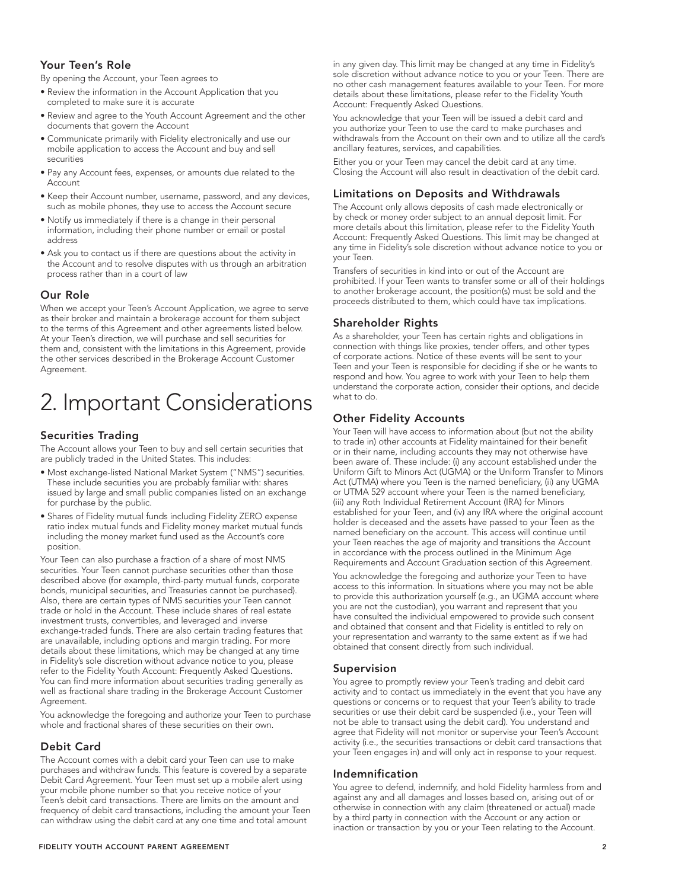## Your Teen's Role

By opening the Account, your Teen agrees to

- Review the information in the Account Application that you completed to make sure it is accurate
- Review and agree to the Youth Account Agreement and the other documents that govern the Account
- Communicate primarily with Fidelity electronically and use our mobile application to access the Account and buy and sell securities
- Pay any Account fees, expenses, or amounts due related to the **Account**
- Keep their Account number, username, password, and any devices, such as mobile phones, they use to access the Account secure
- Notify us immediately if there is a change in their personal information, including their phone number or email or postal address
- Ask you to contact us if there are questions about the activity in the Account and to resolve disputes with us through an arbitration process rather than in a court of law

## Our Role

When we accept your Teen's Account Application, we agree to serve as their broker and maintain a brokerage account for them subject to the terms of this Agreement and other agreements listed below. At your Teen's direction, we will purchase and sell securities for them and, consistent with the limitations in this Agreement, provide the other services described in the Brokerage Account Customer Agreement.

# 2. Important Considerations

## Securities Trading

The Account allows your Teen to buy and sell certain securities that are publicly traded in the United States. This includes:

- Most exchange-listed National Market System ("NMS") securities. These include securities you are probably familiar with: shares issued by large and small public companies listed on an exchange for purchase by the public.
- Shares of Fidelity mutual funds including Fidelity ZERO expense ratio index mutual funds and Fidelity money market mutual funds including the money market fund used as the Account's core position.

Your Teen can also purchase a fraction of a share of most NMS securities. Your Teen cannot purchase securities other than those described above (for example, third-party mutual funds, corporate bonds, municipal securities, and Treasuries cannot be purchased). Also, there are certain types of NMS securities your Teen cannot trade or hold in the Account. These include shares of real estate investment trusts, convertibles, and leveraged and inverse exchange-traded funds. There are also certain trading features that are unavailable, including options and margin trading. For more details about these limitations, which may be changed at any time in Fidelity's sole discretion without advance notice to you, please refer to the Fidelity Youth Account: Frequently Asked Questions. You can find more information about securities trading generally as well as fractional share trading in the Brokerage Account Customer Agreement.

You acknowledge the foregoing and authorize your Teen to purchase whole and fractional shares of these securities on their own.

## Debit Card

The Account comes with a debit card your Teen can use to make purchases and withdraw funds. This feature is covered by a separate Debit Card Agreement. Your Teen must set up a mobile alert using your mobile phone number so that you receive notice of your Teen's debit card transactions. There are limits on the amount and frequency of debit card transactions, including the amount your Teen can withdraw using the debit card at any one time and total amount

in any given day. This limit may be changed at any time in Fidelity's sole discretion without advance notice to you or your Teen. There are no other cash management features available to your Teen. For more details about these limitations, please refer to the Fidelity Youth Account: Frequently Asked Questions.

You acknowledge that your Teen will be issued a debit card and you authorize your Teen to use the card to make purchases and withdrawals from the Account on their own and to utilize all the card's ancillary features, services, and capabilities.

Either you or your Teen may cancel the debit card at any time. Closing the Account will also result in deactivation of the debit card.

## Limitations on Deposits and Withdrawals

The Account only allows deposits of cash made electronically or by check or money order subject to an annual deposit limit. For more details about this limitation, please refer to the Fidelity Youth Account: Frequently Asked Questions. This limit may be changed at any time in Fidelity's sole discretion without advance notice to you or your Teen.

Transfers of securities in kind into or out of the Account are prohibited. If your Teen wants to transfer some or all of their holdings to another brokerage account, the position(s) must be sold and the proceeds distributed to them, which could have tax implications.

## Shareholder Rights

As a shareholder, your Teen has certain rights and obligations in connection with things like proxies, tender offers, and other types of corporate actions. Notice of these events will be sent to your Teen and your Teen is responsible for deciding if she or he wants to respond and how. You agree to work with your Teen to help them understand the corporate action, consider their options, and decide what to do.

## Other Fidelity Accounts

Your Teen will have access to information about (but not the ability to trade in) other accounts at Fidelity maintained for their benefit or in their name, including accounts they may not otherwise have been aware of. These include: (i) any account established under the Uniform Gift to Minors Act (UGMA) or the Uniform Transfer to Minors Act (UTMA) where you Teen is the named beneficiary, (ii) any UGMA or UTMA 529 account where your Teen is the named beneficiary, (iii) any Roth Individual Retirement Account (IRA) for Minors established for your Teen, and (iv) any IRA where the original account holder is deceased and the assets have passed to your Teen as the named beneficiary on the account. This access will continue until your Teen reaches the age of majority and transitions the Account in accordance with the process outlined in the Minimum Age Requirements and Account Graduation section of this Agreement.

You acknowledge the foregoing and authorize your Teen to have access to this information. In situations where you may not be able to provide this authorization yourself (e.g., an UGMA account where you are not the custodian), you warrant and represent that you have consulted the individual empowered to provide such consent and obtained that consent and that Fidelity is entitled to rely on your representation and warranty to the same extent as if we had obtained that consent directly from such individual.

#### Supervision

You agree to promptly review your Teen's trading and debit card activity and to contact us immediately in the event that you have any questions or concerns or to request that your Teen's ability to trade securities or use their debit card be suspended (i.e., your Teen will not be able to transact using the debit card). You understand and agree that Fidelity will not monitor or supervise your Teen's Account activity (i.e., the securities transactions or debit card transactions that your Teen engages in) and will only act in response to your request.

#### Indemnification

You agree to defend, indemnify, and hold Fidelity harmless from and against any and all damages and losses based on, arising out of or otherwise in connection with any claim (threatened or actual) made by a third party in connection with the Account or any action or inaction or transaction by you or your Teen relating to the Account.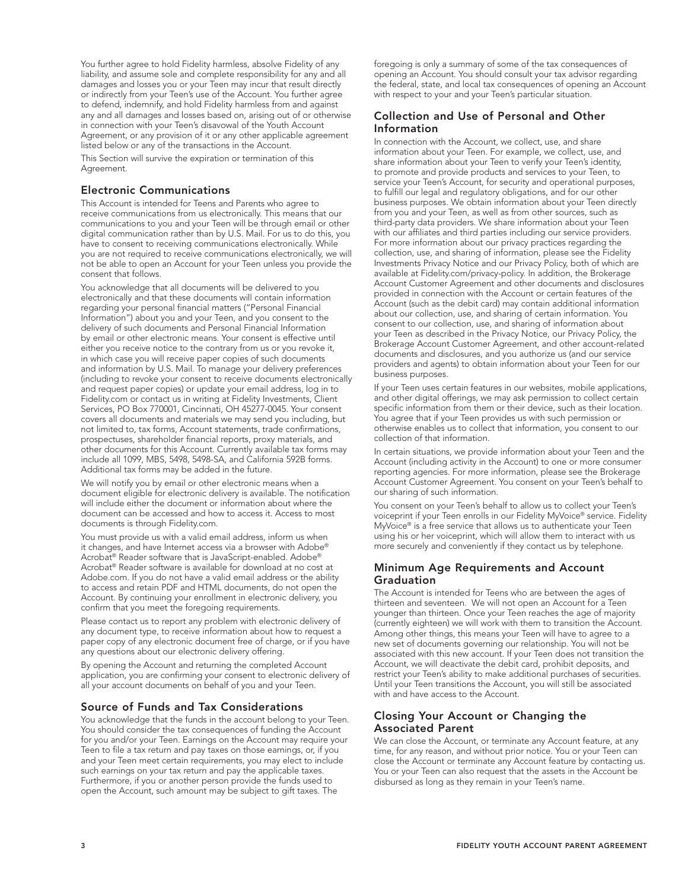You further agree to hold Fidelity harmless, absolve Fidelity of any liability, and assume sole and complete responsibility for any and all damages and losses you or your Teen may incur that result directly or indirectly from your Teen's use of the Account. You further agree to defend, indemnify, and hold Fidelity harmless from and against any and all damages and losses based on, arising out of or otherwise in connection with your Teen's disavowal of the Youth Account Agreement, or any provision of it or any other applicable agreement listed below or any of the transactions in the Account.

This Section will survive the expiration or termination of this Agreement.

#### Electronic Communications

This Account is intended for Teens and Parents who agree to receive communications from us electronically. This means that our communications to you and your Teen will be through email or other digital communication rather than by U.S. Mail. For us to do this, you have to consent to receiving communications electronically. While you are not required to receive communications electronically, we will not be able to open an Account for your Teen unless you provide the consent that follows.

You acknowledge that all documents will be delivered to you electronically and that these documents will contain information regarding your personal financial matters ("Personal Financial Information") about you and your Teen, and you consent to the delivery of such documents and Personal Financial Information by email or other electronic means. Your consent is effective until either you receive notice to the contrary from us or you revoke it, in which case you will receive paper copies of such documents and information by U.S. Mail. To manage your delivery preferences (including to revoke your consent to receive documents electronically and request paper copies) or update your email address, log in to Fidelity.com or contact us in writing at Fidelity Investments, Client Services, PO Box 770001, Cincinnati, OH 45277-0045. Your consent covers all documents and materials we may send you including, but not limited to, tax forms, Account statements, trade confirmations, prospectuses, shareholder financial reports, proxy materials, and other documents for this Account. Currently available tax forms may include all 1099, MBS, 5498, 5498-SA, and California 592B forms. Additional tax forms may be added in the future.

We will notify you by email or other electronic means when a document eligible for electronic delivery is available. The notification will include either the document or information about where the document can be accessed and how to access it. Access to most documents is through Fidelity.com.

You must provide us with a valid email address, inform us when it changes, and have Internet access via a browser with Adobe® Acrobat® Reader software that is JavaScript-enabled. Adobe® Acrobat® Reader software is available for download at no cost at Adobe.com. If you do not have a valid email address or the ability to access and retain PDF and HTML documents, do not open the Account. By continuing your enrollment in electronic delivery, you confirm that you meet the foregoing requirements.

Please contact us to report any problem with electronic delivery of any document type, to receive information about how to request a paper copy of any electronic document free of charge, or if you have any questions about our electronic delivery offering.

By opening the Account and returning the completed Account application, you are confirming your consent to electronic delivery of all your account documents on behalf of you and your Teen.

## Source of Funds and Tax Considerations

You acknowledge that the funds in the account belong to your Teen. You should consider the tax consequences of funding the Account for you and/or your Teen. Earnings on the Account may require your Teen to file a tax return and pay taxes on those earnings, or, if you and your Teen meet certain requirements, you may elect to include such earnings on your tax return and pay the applicable taxes. Furthermore, if you or another person provide the funds used to open the Account, such amount may be subject to gift taxes. The

foregoing is only a summary of some of the tax consequences of opening an Account. You should consult your tax advisor regarding the federal, state, and local tax consequences of opening an Account with respect to your and your Teen's particular situation.

#### Collection and Use of Personal and Other Information

In connection with the Account, we collect, use, and share information about your Teen. For example, we collect, use, and share information about your Teen to verify your Teen's identity, to promote and provide products and services to your Teen, to service your Teen's Account, for security and operational purposes, to fulfill our legal and regulatory obligations, and for our other business purposes. We obtain information about your Teen directly from you and your Teen, as well as from other sources, such as third-party data providers. We share information about your Teen with our affiliates and third parties including our service providers. For more information about our privacy practices regarding the collection, use, and sharing of information, please see the Fidelity Investments Privacy Notice and our Privacy Policy, both of which are available at Fidelity.com/privacy-policy. In addition, the Brokerage Account Customer Agreement and other documents and disclosures provided in connection with the Account or certain features of the Account (such as the debit card) may contain additional information about our collection, use, and sharing of certain information. You consent to our collection, use, and sharing of information about your Teen as described in the Privacy Notice, our Privacy Policy, the Brokerage Account Customer Agreement, and other account-related documents and disclosures, and you authorize us (and our service providers and agents) to obtain information about your Teen for our business purposes.

If your Teen uses certain features in our websites, mobile applications, and other digital offerings, we may ask permission to collect certain specific information from them or their device, such as their location. You agree that if your Teen provides us with such permission or otherwise enables us to collect that information, you consent to our collection of that information.

In certain situations, we provide information about your Teen and the Account (including activity in the Account) to one or more consumer reporting agencies. For more information, please see the Brokerage Account Customer Agreement. You consent on your Teen's behalf to our sharing of such information.

You consent on your Teen's behalf to allow us to collect your Teen's voiceprint if your Teen enrolls in our Fidelity MyVoice® service. Fidelity MyVoice® is a free service that allows us to authenticate your Teen using his or her voiceprint, which will allow them to interact with us more securely and conveniently if they contact us by telephone.

#### Minimum Age Requirements and Account Graduation

The Account is intended for Teens who are between the ages of thirteen and seventeen. We will not open an Account for a Teen younger than thirteen. Once your Teen reaches the age of majority (currently eighteen) we will work with them to transition the Account. Among other things, this means your Teen will have to agree to a new set of documents governing our relationship. You will not be associated with this new account. If your Teen does not transition the Account, we will deactivate the debit card, prohibit deposits, and restrict your Teen's ability to make additional purchases of securities. Until your Teen transitions the Account, you will still be associated with and have access to the Account.

## Closing Your Account or Changing the Associated Parent

We can close the Account, or terminate any Account feature, at any time, for any reason, and without prior notice. You or your Teen can close the Account or terminate any Account feature by contacting us. You or your Teen can also request that the assets in the Account be disbursed as long as they remain in your Teen's name.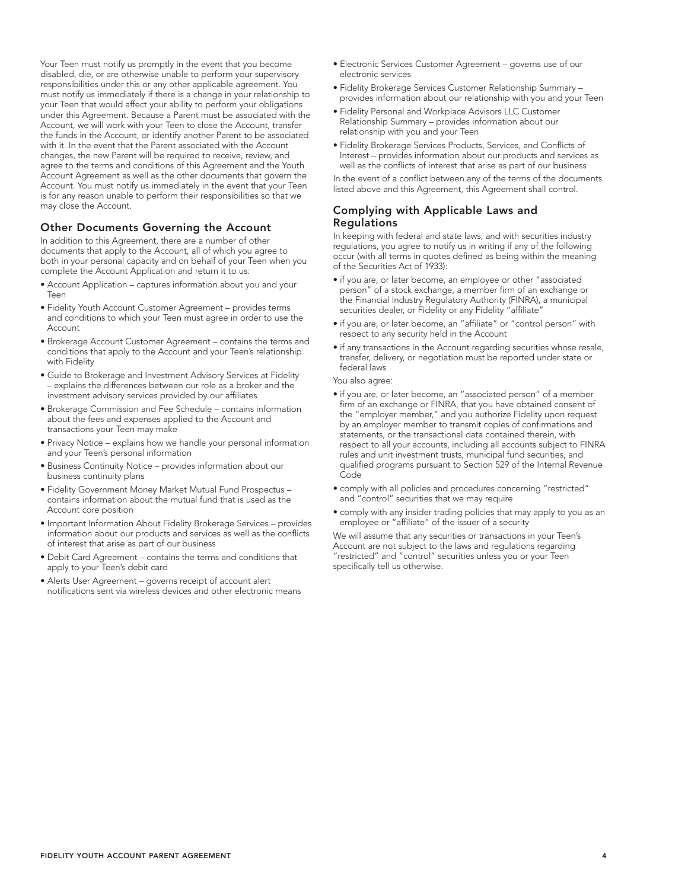the funds in the Account, or identify another Parent to be associated with it. In the event that the Parent associated with the Account changes, the new Parent will be required to receive, review, and agree to the terms and conditions of this Agreement and the Youth Account Agreement as well as the other documents that govern the Account. You must notify us immediately in the event that your Teen is for any reason unable to perform their responsibilities so that we may close the Account. Other Documents Governing the Account In addition to this Agreement, there are a number of other documents that apply to the Account, all of which you agree to both in your personal capacity and on behalf of your Teen when you complete the Account Application and return it to us:

Your Teen must notify us promptly in the event that you become disabled, die, or are otherwise unable to perform your supervisory responsibilities under this or any other applicable agreement. You must notify us immediately if there is a change in your relationship to your Teen that would affect your ability to perform your obligations under this Agreement. Because a Parent must be associated with the Account, we will work with your Teen to close the Account, transfer

- Account Application captures information about you and your Teen
- Fidelity Youth Account Customer Agreement provides terms and conditions to which your Teen must agree in order to use the Account
- Brokerage Account Customer Agreement contains the terms and conditions that apply to the Account and your Teen's relationship with Fidelity
- Guide to Brokerage and Investment Advisory Services at Fidelity explains the differences between our role as a broker and the investment advisory services provided by our affiliates
- Brokerage Commission and Fee Schedule contains information about the fees and expenses applied to the Account and transactions your Teen may make
- Privacy Notice explains how we handle your personal information and your Teen's personal information
- Business Continuity Notice provides information about our business continuity plans
- Fidelity Government Money Market Mutual Fund Prospectus contains information about the mutual fund that is used as the Account core position
- Important Information About Fidelity Brokerage Services provides information about our products and services as well as the conflicts of interest that arise as part of our business
- Debit Card Agreement contains the terms and conditions that apply to your Teen's debit card
- Alerts User Agreement governs receipt of account alert notifications sent via wireless devices and other electronic means
- Electronic Services Customer Agreement governs use of our electronic services
- Fidelity Brokerage Services Customer Relationship Summary provides information about our relationship with you and your Teen
- Fidelity Personal and Workplace Advisors LLC Customer Relationship Summary – provides information about our relationship with you and your Teen
- Fidelity Brokerage Services Products, Services, and Conflicts of Interest – provides information about our products and services as well as the conflicts of interest that arise as part of our business

In the event of a conflict between any of the terms of the documents listed above and this Agreement, this Agreement shall control.

## Complying with Applicable Laws and **Regulations**

In keeping with federal and state laws, and with securities industry regulations, you agree to notify us in writing if any of the following occur (with all terms in quotes defined as being within the meaning of the Securities Act of 1933):

- if you are, or later become, an employee or other "associated person" of a stock exchange, a member firm of an exchange or the Financial Industry Regulatory Authority (FINRA), a municipal securities dealer, or Fidelity or any Fidelity "affiliate"
- if you are, or later become, an "affiliate" or "control person" with respect to any security held in the Account
- if any transactions in the Account regarding securities whose resale, transfer, delivery, or negotiation must be reported under state or federal laws
- You also agree:
- if you are, or later become, an "associated person" of a member firm of an exchange or FINRA, that you have obtained consent of the "employer member," and you authorize Fidelity upon request by an employer member to transmit copies of confirmations and statements, or the transactional data contained therein, with respect to all your accounts, including all accounts subject to FINRA rules and unit investment trusts, municipal fund securities, and qualified programs pursuant to Section 529 of the Internal Revenue Code
- comply with all policies and procedures concerning "restricted" and "control" securities that we may require
- comply with any insider trading policies that may apply to you as an employee or "affiliate" of the issuer of a security

We will assume that any securities or transactions in your Teen's Account are not subject to the laws and regulations regarding "restricted" and "control" securities unless you or your Teen specifically tell us otherwise.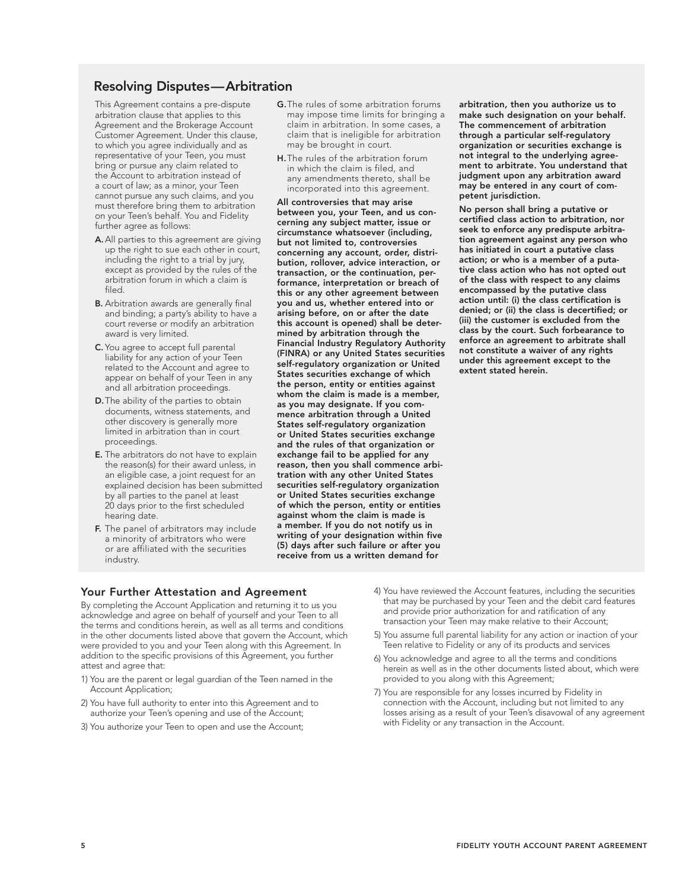## Resolving Disputes—Arbitration

This Agreement contains a pre-dispute arbitration clause that applies to this Agreement and the Brokerage Account Customer Agreement. Under this clause, to which you agree individually and as representative of your Teen, you must bring or pursue any claim related to the Account to arbitration instead of a court of law; as a minor, your Teen cannot pursue any such claims, and you must therefore bring them to arbitration on your Teen's behalf. You and Fidelity further agree as follows:

- A. All parties to this agreement are giving up the right to sue each other in court, including the right to a trial by jury, except as provided by the rules of the arbitration forum in which a claim is filed.
- B. Arbitration awards are generally final and binding; a party's ability to have a court reverse or modify an arbitration award is very limited.
- C. You agree to accept full parental liability for any action of your Teen related to the Account and agree to appear on behalf of your Teen in any and all arbitration proceedings.
- D.The ability of the parties to obtain documents, witness statements, and other discovery is generally more limited in arbitration than in court proceedings.
- E. The arbitrators do not have to explain the reason(s) for their award unless, in an eligible case, a joint request for an explained decision has been submitted by all parties to the panel at least 20 days prior to the first scheduled hearing date.
- F. The panel of arbitrators may include a minority of arbitrators who were or are affiliated with the securities industry.
- G.The rules of some arbitration forums may impose time limits for bringing a claim in arbitration. In some cases, a claim that is ineligible for arbitration may be brought in court.
- H.The rules of the arbitration forum in which the claim is filed, and any amendments thereto, shall be incorporated into this agreement.

All controversies that may arise between you, your Teen, and us concerning any subject matter, issue or circumstance whatsoever (including, but not limited to, controversies concerning any account, order, distribution, rollover, advice interaction, or transaction, or the continuation, performance, interpretation or breach of this or any other agreement between you and us, whether entered into or arising before, on or after the date this account is opened) shall be determined by arbitration through the Financial Industry Regulatory Authority (FINRA) or any United States securities self-regulatory organization or United States securities exchange of which the person, entity or entities against whom the claim is made is a member, as you may designate. If you commence arbitration through a United States self-regulatory organization or United States securities exchange and the rules of that organization or exchange fail to be applied for any reason, then you shall commence arbitration with any other United States securities self-regulatory organization or United States securities exchange of which the person, entity or entities against whom the claim is made is a member. If you do not notify us in writing of your designation within five (5) days after such failure or after you receive from us a written demand for

arbitration, then you authorize us to make such designation on your behalf. The commencement of arbitration through a particular self-regulatory organization or securities exchange is not integral to the underlying agreement to arbitrate. You understand that judgment upon any arbitration award may be entered in any court of competent jurisdiction.

No person shall bring a putative or certified class action to arbitration, nor seek to enforce any predispute arbitration agreement against any person who has initiated in court a putative class action; or who is a member of a putative class action who has not opted out of the class with respect to any claims encompassed by the putative class action until: (i) the class certification is denied; or (ii) the class is decertified; or (iii) the customer is excluded from the class by the court. Such forbearance to enforce an agreement to arbitrate shall not constitute a waiver of any rights under this agreement except to the extent stated herein.

#### Your Further Attestation and Agreement

By completing the Account Application and returning it to us you acknowledge and agree on behalf of yourself and your Teen to all the terms and conditions herein, as well as all terms and conditions in the other documents listed above that govern the Account, which were provided to you and your Teen along with this Agreement. In addition to the specific provisions of this Agreement, you further attest and agree that:

- 1) You are the parent or legal guardian of the Teen named in the Account Application;
- 2) You have full authority to enter into this Agreement and to authorize your Teen's opening and use of the Account;
- 3) You authorize your Teen to open and use the Account;
- 4) You have reviewed the Account features, including the securities that may be purchased by your Teen and the debit card features and provide prior authorization for and ratification of any transaction your Teen may make relative to their Account;
- 5) You assume full parental liability for any action or inaction of your Teen relative to Fidelity or any of its products and services
- 6) You acknowledge and agree to all the terms and conditions herein as well as in the other documents listed about, which were provided to you along with this Agreement;
- 7) You are responsible for any losses incurred by Fidelity in connection with the Account, including but not limited to any losses arising as a result of your Teen's disavowal of any agreement with Fidelity or any transaction in the Account.